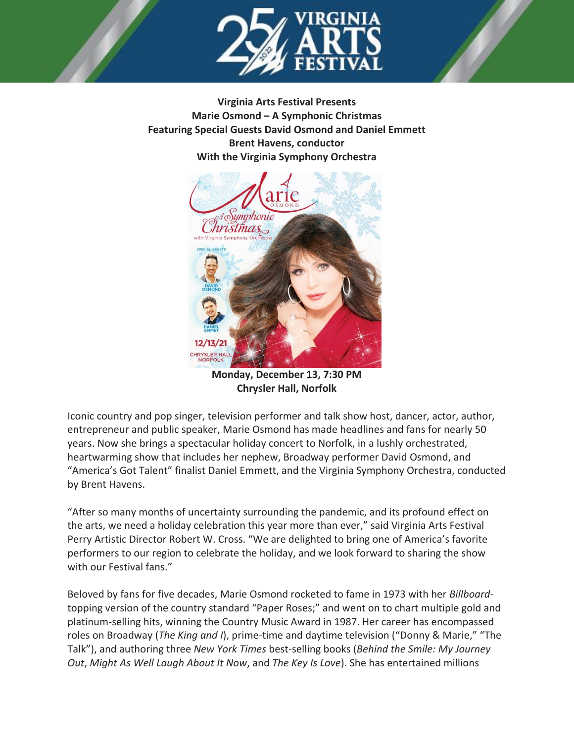

**Virginia Arts Festival Presents Marie Osmond – A Symphonic Christmas Featuring Special Guests David Osmond and Daniel Emmett Brent Havens, conductor With the Virginia Symphony Orchestra**



**Monday, December 13, 7:30 PM Chrysler Hall, Norfolk**

Iconic country and pop singer, television performer and talk show host, dancer, actor, author, entrepreneur and public speaker, Marie Osmond has made headlines and fans for nearly 50 years. Now she brings a spectacular holiday concert to Norfolk, in a lushly orchestrated, heartwarming show that includes her nephew, Broadway performer David Osmond, and "America's Got Talent" finalist Daniel Emmett, and the Virginia Symphony Orchestra, conducted by Brent Havens.

"After so many months of uncertainty surrounding the pandemic, and its profound effect on the arts, we need a holiday celebration this year more than ever," said Virginia Arts Festival Perry Artistic Director Robert W. Cross. "We are delighted to bring one of America's favorite performers to our region to celebrate the holiday, and we look forward to sharing the show with our Festival fans."

Beloved by fans for five decades, Marie Osmond rocketed to fame in 1973 with her *Billboard*topping version of the country standard "Paper Roses;" and went on to chart multiple gold and platinum-selling hits, winning the Country Music Award in 1987. Her career has encompassed roles on Broadway (*The King and I*), prime-time and daytime television ("Donny & Marie," "The Talk"), and authoring three *New York Times* best-selling books (*Behind the Smile: My Journey Out*, *Might As Well Laugh About It Now*, and *The Key Is Love*). She has entertained millions